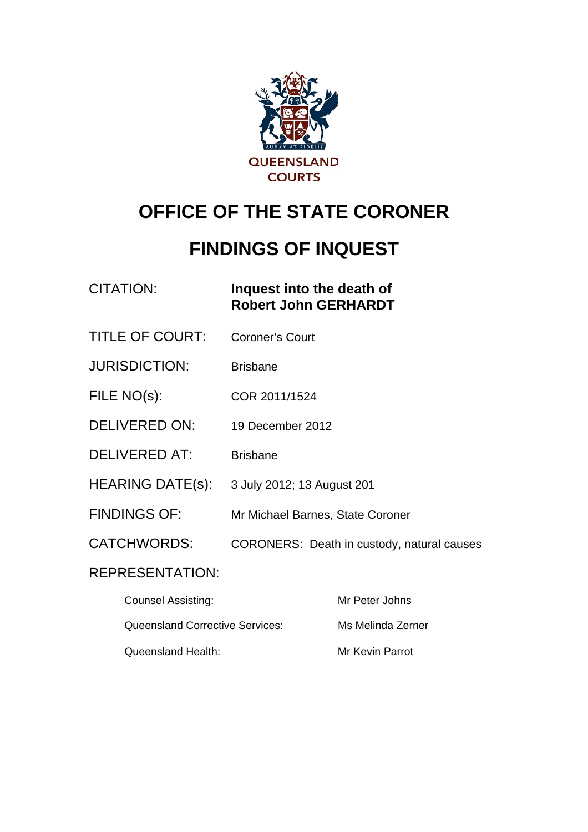

# **OFFICE OF THE STATE CORONER**

# **FINDINGS OF INQUEST**

| CITATION: | Inquest into the death of   |
|-----------|-----------------------------|
|           | <b>Robert John GERHARDT</b> |

- TITLE OF COURT: Coroner's Court
- JURISDICTION: Brisbane
- FILE NO(s): COR 2011/1524
- DELIVERED ON: 19 December 2012
- DELIVERED AT: Brisbane
- HEARING DATE(s): 3 July 2012; 13 August 201
- FINDINGS OF: Mr Michael Barnes, State Coroner
- CATCHWORDS: CORONERS: Death in custody, natural causes

### REPRESENTATION:

| <b>Counsel Assisting:</b>              | Mr Peter Johns    |
|----------------------------------------|-------------------|
| <b>Queensland Corrective Services:</b> | Ms Melinda Zerner |
| Queensland Health:                     | Mr Kevin Parrot   |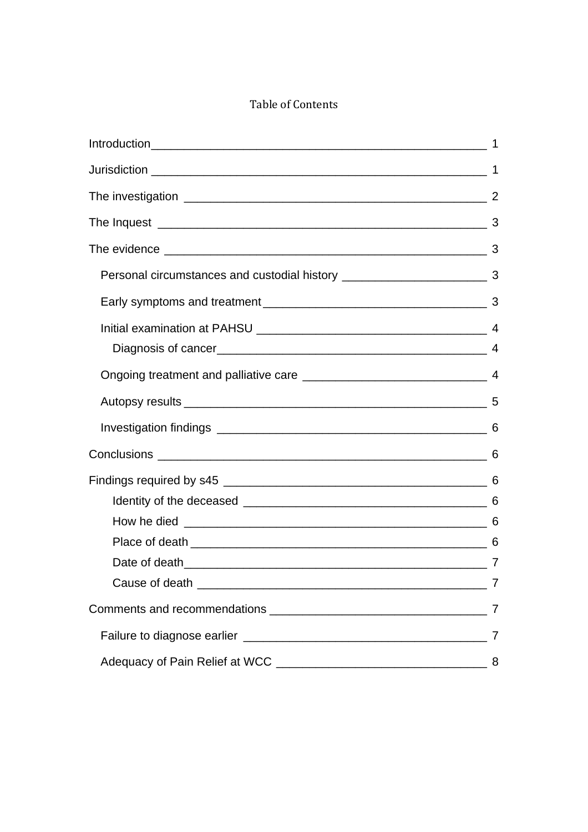#### Table of Contents

|                                                                                    | $\overline{1}$ |
|------------------------------------------------------------------------------------|----------------|
|                                                                                    |                |
|                                                                                    |                |
|                                                                                    |                |
| Personal circumstances and custodial history ___________________________________ 3 |                |
|                                                                                    |                |
|                                                                                    |                |
|                                                                                    |                |
|                                                                                    |                |
|                                                                                    |                |
|                                                                                    |                |
|                                                                                    |                |
|                                                                                    |                |
|                                                                                    |                |
|                                                                                    |                |
|                                                                                    |                |
|                                                                                    | 7              |
|                                                                                    |                |
|                                                                                    | 7              |
|                                                                                    |                |
|                                                                                    | 8              |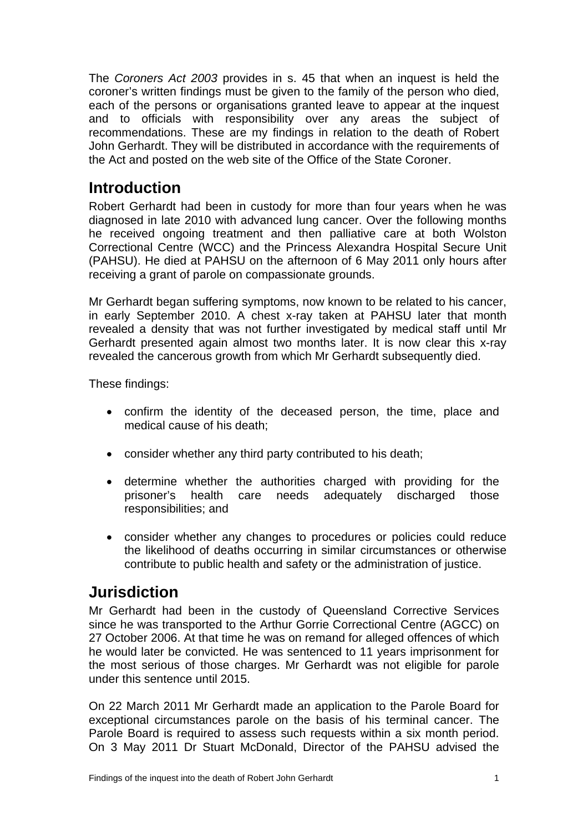<span id="page-2-0"></span>The *Coroners Act 2003* provides in s. 45 that when an inquest is held the coroner's written findings must be given to the family of the person who died, each of the persons or organisations granted leave to appear at the inquest and to officials with responsibility over any areas the subject of recommendations. These are my findings in relation to the death of Robert John Gerhardt. They will be distributed in accordance with the requirements of the Act and posted on the web site of the Office of the State Coroner.

## **Introduction**

Robert Gerhardt had been in custody for more than four years when he was diagnosed in late 2010 with advanced lung cancer. Over the following months he received ongoing treatment and then palliative care at both Wolston Correctional Centre (WCC) and the Princess Alexandra Hospital Secure Unit (PAHSU). He died at PAHSU on the afternoon of 6 May 2011 only hours after receiving a grant of parole on compassionate grounds.

Mr Gerhardt began suffering symptoms, now known to be related to his cancer, in early September 2010. A chest x-ray taken at PAHSU later that month revealed a density that was not further investigated by medical staff until Mr Gerhardt presented again almost two months later. It is now clear this x-ray revealed the cancerous growth from which Mr Gerhardt subsequently died.

These findings:

- confirm the identity of the deceased person, the time, place and medical cause of his death;
- consider whether any third party contributed to his death;
- determine whether the authorities charged with providing for the prisoner's health care needs adequately discharged those responsibilities; and
- consider whether any changes to procedures or policies could reduce the likelihood of deaths occurring in similar circumstances or otherwise contribute to public health and safety or the administration of justice.

## **Jurisdiction**

Mr Gerhardt had been in the custody of Queensland Corrective Services since he was transported to the Arthur Gorrie Correctional Centre (AGCC) on 27 October 2006. At that time he was on remand for alleged offences of which he would later be convicted. He was sentenced to 11 years imprisonment for the most serious of those charges. Mr Gerhardt was not eligible for parole under this sentence until 2015.

On 22 March 2011 Mr Gerhardt made an application to the Parole Board for exceptional circumstances parole on the basis of his terminal cancer. The Parole Board is required to assess such requests within a six month period. On 3 May 2011 Dr Stuart McDonald, Director of the PAHSU advised the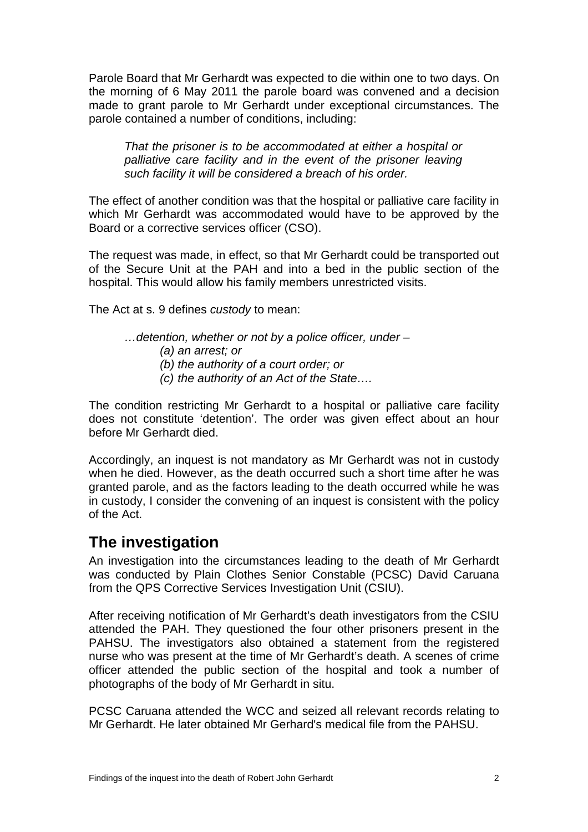<span id="page-3-0"></span>Parole Board that Mr Gerhardt was expected to die within one to two days. On the morning of 6 May 2011 the parole board was convened and a decision made to grant parole to Mr Gerhardt under exceptional circumstances. The parole contained a number of conditions, including:

*That the prisoner is to be accommodated at either a hospital or palliative care facility and in the event of the prisoner leaving such facility it will be considered a breach of his order.*

The effect of another condition was that the hospital or palliative care facility in which Mr Gerhardt was accommodated would have to be approved by the Board or a corrective services officer (CSO).

The request was made, in effect, so that Mr Gerhardt could be transported out of the Secure Unit at the PAH and into a bed in the public section of the hospital. This would allow his family members unrestricted visits.

The Act at s. 9 defines *custody* to mean:

*…detention, whether or not by a police officer, under – (a) an arrest; or (b) the authority of a court order; or* 

*(c) the authority of an Act of the State….* 

The condition restricting Mr Gerhardt to a hospital or palliative care facility does not constitute 'detention'. The order was given effect about an hour before Mr Gerhardt died.

Accordingly, an inquest is not mandatory as Mr Gerhardt was not in custody when he died. However, as the death occurred such a short time after he was granted parole, and as the factors leading to the death occurred while he was in custody, I consider the convening of an inquest is consistent with the policy of the Act.

### **The investigation**

An investigation into the circumstances leading to the death of Mr Gerhardt was conducted by Plain Clothes Senior Constable (PCSC) David Caruana from the QPS Corrective Services Investigation Unit (CSIU).

After receiving notification of Mr Gerhardt's death investigators from the CSIU attended the PAH. They questioned the four other prisoners present in the PAHSU. The investigators also obtained a statement from the registered nurse who was present at the time of Mr Gerhardt's death. A scenes of crime officer attended the public section of the hospital and took a number of photographs of the body of Mr Gerhardt in situ.

PCSC Caruana attended the WCC and seized all relevant records relating to Mr Gerhardt. He later obtained Mr Gerhard's medical file from the PAHSU.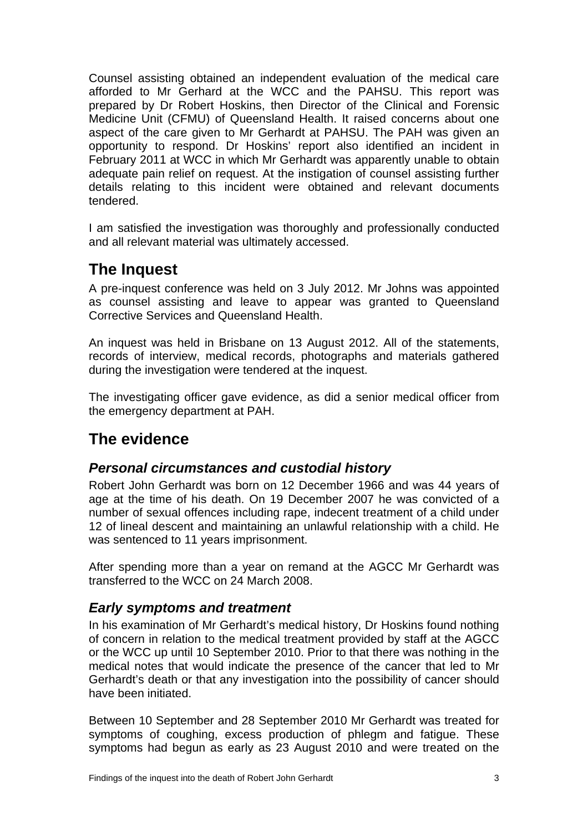<span id="page-4-0"></span>Counsel assisting obtained an independent evaluation of the medical care afforded to Mr Gerhard at the WCC and the PAHSU. This report was prepared by Dr Robert Hoskins, then Director of the Clinical and Forensic Medicine Unit (CFMU) of Queensland Health. It raised concerns about one aspect of the care given to Mr Gerhardt at PAHSU. The PAH was given an opportunity to respond. Dr Hoskins' report also identified an incident in February 2011 at WCC in which Mr Gerhardt was apparently unable to obtain adequate pain relief on request. At the instigation of counsel assisting further details relating to this incident were obtained and relevant documents tendered.

I am satisfied the investigation was thoroughly and professionally conducted and all relevant material was ultimately accessed.

# **The Inquest**

A pre-inquest conference was held on 3 July 2012. Mr Johns was appointed as counsel assisting and leave to appear was granted to Queensland Corrective Services and Queensland Health.

An inquest was held in Brisbane on 13 August 2012. All of the statements, records of interview, medical records, photographs and materials gathered during the investigation were tendered at the inquest.

The investigating officer gave evidence, as did a senior medical officer from the emergency department at PAH.

# **The evidence**

#### *Personal circumstances and custodial history*

Robert John Gerhardt was born on 12 December 1966 and was 44 years of age at the time of his death. On 19 December 2007 he was convicted of a number of sexual offences including rape, indecent treatment of a child under 12 of lineal descent and maintaining an unlawful relationship with a child. He was sentenced to 11 years imprisonment.

After spending more than a year on remand at the AGCC Mr Gerhardt was transferred to the WCC on 24 March 2008.

#### *Early symptoms and treatment*

In his examination of Mr Gerhardt's medical history, Dr Hoskins found nothing of concern in relation to the medical treatment provided by staff at the AGCC or the WCC up until 10 September 2010. Prior to that there was nothing in the medical notes that would indicate the presence of the cancer that led to Mr Gerhardt's death or that any investigation into the possibility of cancer should have been initiated.

Between 10 September and 28 September 2010 Mr Gerhardt was treated for symptoms of coughing, excess production of phlegm and fatigue. These symptoms had begun as early as 23 August 2010 and were treated on the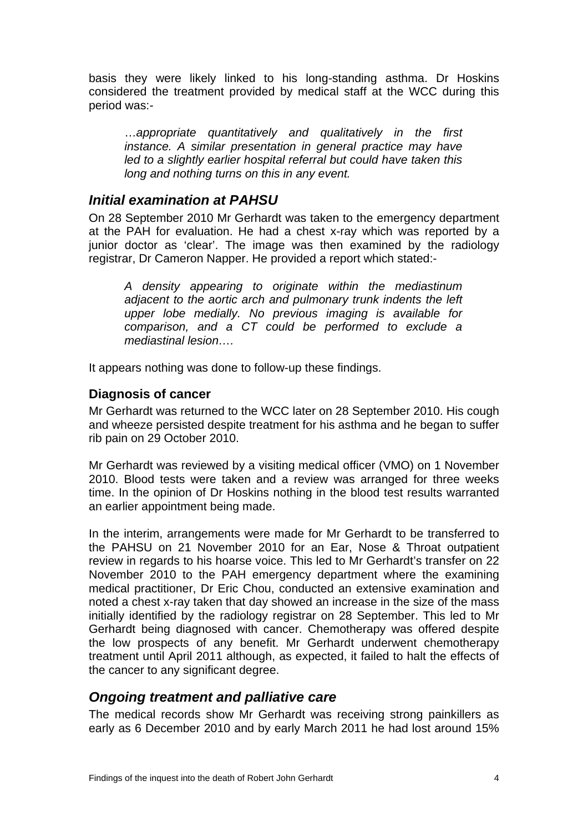<span id="page-5-0"></span>basis they were likely linked to his long-standing asthma. Dr Hoskins considered the treatment provided by medical staff at the WCC during this period was:-

…*appropriate quantitatively and qualitatively in the first instance. A similar presentation in general practice may have led to a slightly earlier hospital referral but could have taken this long and nothing turns on this in any event.*

#### *Initial examination at PAHSU*

On 28 September 2010 Mr Gerhardt was taken to the emergency department at the PAH for evaluation. He had a chest x-ray which was reported by a junior doctor as 'clear'. The image was then examined by the radiology registrar, Dr Cameron Napper. He provided a report which stated:-

*A density appearing to originate within the mediastinum adjacent to the aortic arch and pulmonary trunk indents the left upper lobe medially. No previous imaging is available for comparison, and a CT could be performed to exclude a mediastinal lesion….* 

It appears nothing was done to follow-up these findings.

#### **Diagnosis of cancer**

Mr Gerhardt was returned to the WCC later on 28 September 2010. His cough and wheeze persisted despite treatment for his asthma and he began to suffer rib pain on 29 October 2010.

Mr Gerhardt was reviewed by a visiting medical officer (VMO) on 1 November 2010. Blood tests were taken and a review was arranged for three weeks time. In the opinion of Dr Hoskins nothing in the blood test results warranted an earlier appointment being made.

In the interim, arrangements were made for Mr Gerhardt to be transferred to the PAHSU on 21 November 2010 for an Ear, Nose & Throat outpatient review in regards to his hoarse voice. This led to Mr Gerhardt's transfer on 22 November 2010 to the PAH emergency department where the examining medical practitioner, Dr Eric Chou, conducted an extensive examination and noted a chest x-ray taken that day showed an increase in the size of the mass initially identified by the radiology registrar on 28 September. This led to Mr Gerhardt being diagnosed with cancer. Chemotherapy was offered despite the low prospects of any benefit. Mr Gerhardt underwent chemotherapy treatment until April 2011 although, as expected, it failed to halt the effects of the cancer to any significant degree.

#### *Ongoing treatment and palliative care*

The medical records show Mr Gerhardt was receiving strong painkillers as early as 6 December 2010 and by early March 2011 he had lost around 15%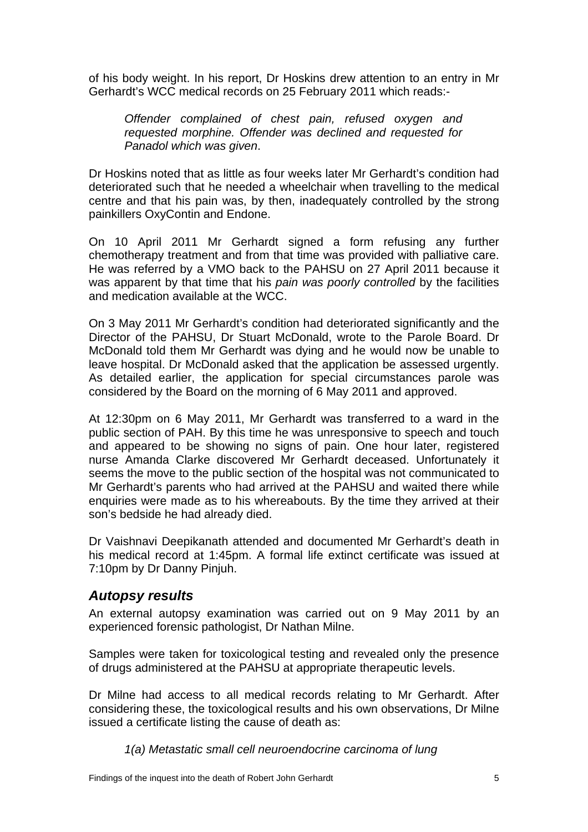<span id="page-6-0"></span>of his body weight. In his report, Dr Hoskins drew attention to an entry in Mr Gerhardt's WCC medical records on 25 February 2011 which reads:-

*Offender complained of chest pain, refused oxygen and requested morphine. Offender was declined and requested for Panadol which was given*.

Dr Hoskins noted that as little as four weeks later Mr Gerhardt's condition had deteriorated such that he needed a wheelchair when travelling to the medical centre and that his pain was, by then, inadequately controlled by the strong painkillers OxyContin and Endone.

On 10 April 2011 Mr Gerhardt signed a form refusing any further chemotherapy treatment and from that time was provided with palliative care. He was referred by a VMO back to the PAHSU on 27 April 2011 because it was apparent by that time that his *pain was poorly controlled* by the facilities and medication available at the WCC.

On 3 May 2011 Mr Gerhardt's condition had deteriorated significantly and the Director of the PAHSU, Dr Stuart McDonald, wrote to the Parole Board. Dr McDonald told them Mr Gerhardt was dying and he would now be unable to leave hospital. Dr McDonald asked that the application be assessed urgently. As detailed earlier, the application for special circumstances parole was considered by the Board on the morning of 6 May 2011 and approved.

At 12:30pm on 6 May 2011, Mr Gerhardt was transferred to a ward in the public section of PAH. By this time he was unresponsive to speech and touch and appeared to be showing no signs of pain. One hour later, registered nurse Amanda Clarke discovered Mr Gerhardt deceased. Unfortunately it seems the move to the public section of the hospital was not communicated to Mr Gerhardt's parents who had arrived at the PAHSU and waited there while enquiries were made as to his whereabouts. By the time they arrived at their son's bedside he had already died.

Dr Vaishnavi Deepikanath attended and documented Mr Gerhardt's death in his medical record at 1:45pm. A formal life extinct certificate was issued at 7:10pm by Dr Danny Pinjuh.

#### *Autopsy results*

An external autopsy examination was carried out on 9 May 2011 by an experienced forensic pathologist, Dr Nathan Milne.

Samples were taken for toxicological testing and revealed only the presence of drugs administered at the PAHSU at appropriate therapeutic levels.

Dr Milne had access to all medical records relating to Mr Gerhardt. After considering these, the toxicological results and his own observations, Dr Milne issued a certificate listing the cause of death as:

*1(a) Metastatic small cell neuroendocrine carcinoma of lung*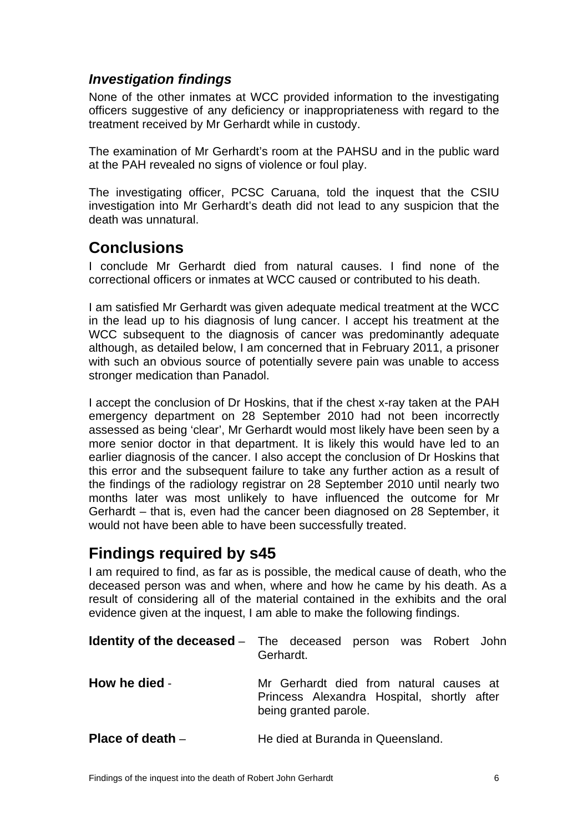### <span id="page-7-0"></span>*Investigation findings*

None of the other inmates at WCC provided information to the investigating officers suggestive of any deficiency or inappropriateness with regard to the treatment received by Mr Gerhardt while in custody.

The examination of Mr Gerhardt's room at the PAHSU and in the public ward at the PAH revealed no signs of violence or foul play.

The investigating officer, PCSC Caruana, told the inquest that the CSIU investigation into Mr Gerhardt's death did not lead to any suspicion that the death was unnatural.

### **Conclusions**

I conclude Mr Gerhardt died from natural causes. I find none of the correctional officers or inmates at WCC caused or contributed to his death.

I am satisfied Mr Gerhardt was given adequate medical treatment at the WCC in the lead up to his diagnosis of lung cancer. I accept his treatment at the WCC subsequent to the diagnosis of cancer was predominantly adequate although, as detailed below, I am concerned that in February 2011, a prisoner with such an obvious source of potentially severe pain was unable to access stronger medication than Panadol.

I accept the conclusion of Dr Hoskins, that if the chest x-ray taken at the PAH emergency department on 28 September 2010 had not been incorrectly assessed as being 'clear', Mr Gerhardt would most likely have been seen by a more senior doctor in that department. It is likely this would have led to an earlier diagnosis of the cancer. I also accept the conclusion of Dr Hoskins that this error and the subsequent failure to take any further action as a result of the findings of the radiology registrar on 28 September 2010 until nearly two months later was most unlikely to have influenced the outcome for Mr Gerhardt – that is, even had the cancer been diagnosed on 28 September, it would not have been able to have been successfully treated.

## **Findings required by s45**

I am required to find, as far as is possible, the medical cause of death, who the deceased person was and when, where and how he came by his death. As a result of considering all of the material contained in the exhibits and the oral evidence given at the inquest, I am able to make the following findings.

|                    | <b>Identity of the deceased</b> – The deceased person was Robert John<br>Gerhardt.                             |
|--------------------|----------------------------------------------------------------------------------------------------------------|
| How he died -      | Mr Gerhardt died from natural causes at<br>Princess Alexandra Hospital, shortly after<br>being granted parole. |
| Place of death $-$ | He died at Buranda in Queensland.                                                                              |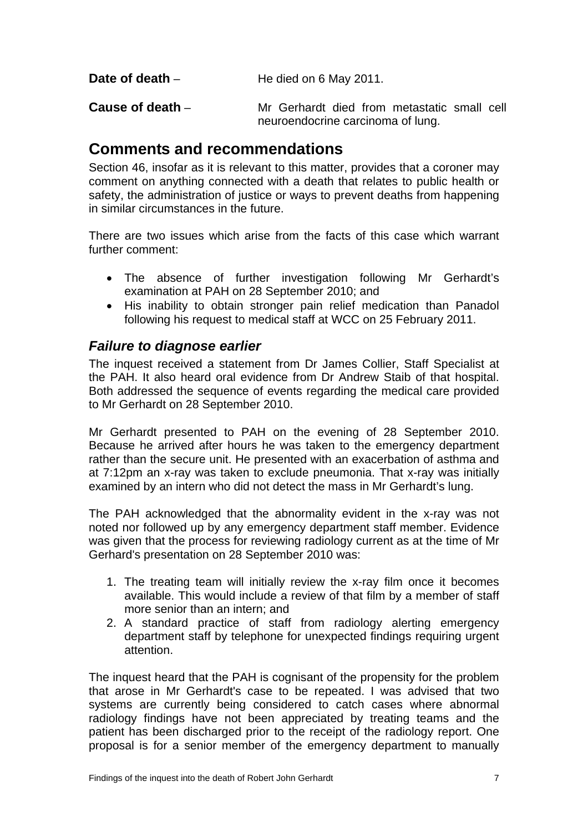<span id="page-8-0"></span>**Date of death** – **He died on 6 May 2011.** 

**Cause of death** – Mr Gerhardt died from metastatic small cell neuroendocrine carcinoma of lung.

### **Comments and recommendations**

Section 46, insofar as it is relevant to this matter, provides that a coroner may comment on anything connected with a death that relates to public health or safety, the administration of justice or ways to prevent deaths from happening in similar circumstances in the future.

There are two issues which arise from the facts of this case which warrant further comment:

- The absence of further investigation following Mr Gerhardt's examination at PAH on 28 September 2010; and
- His inability to obtain stronger pain relief medication than Panadol following his request to medical staff at WCC on 25 February 2011.

#### *Failure to diagnose earlier*

The inquest received a statement from Dr James Collier, Staff Specialist at the PAH. It also heard oral evidence from Dr Andrew Staib of that hospital. Both addressed the sequence of events regarding the medical care provided to Mr Gerhardt on 28 September 2010.

Mr Gerhardt presented to PAH on the evening of 28 September 2010. Because he arrived after hours he was taken to the emergency department rather than the secure unit. He presented with an exacerbation of asthma and at 7:12pm an x-ray was taken to exclude pneumonia. That x-ray was initially examined by an intern who did not detect the mass in Mr Gerhardt's lung.

The PAH acknowledged that the abnormality evident in the x-ray was not noted nor followed up by any emergency department staff member. Evidence was given that the process for reviewing radiology current as at the time of Mr Gerhard's presentation on 28 September 2010 was:

- 1. The treating team will initially review the x-ray film once it becomes available. This would include a review of that film by a member of staff more senior than an intern; and
- 2. A standard practice of staff from radiology alerting emergency department staff by telephone for unexpected findings requiring urgent attention.

The inquest heard that the PAH is cognisant of the propensity for the problem that arose in Mr Gerhardt's case to be repeated. I was advised that two systems are currently being considered to catch cases where abnormal radiology findings have not been appreciated by treating teams and the patient has been discharged prior to the receipt of the radiology report. One proposal is for a senior member of the emergency department to manually